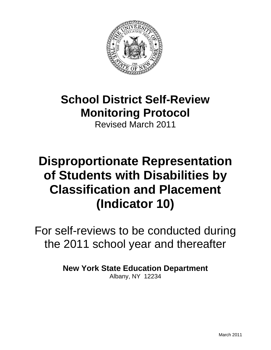

## **School District Self-Review Monitoring Protocol**

Revised March 2011

## **Disproportionate Representation of Students with Disabilities by Classification and Placement (Indicator 10)**

For self-reviews to be conducted during the 2011 school year and thereafter

> **New York State Education Department** Albany, NY 12234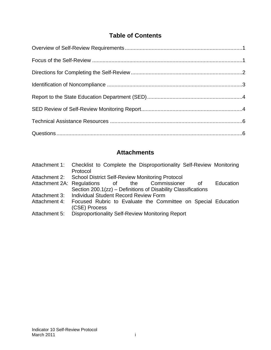## **Table of Contents**

## **Attachments**

|               | Attachment 1: Checklist to Complete the Disproportionality Self-Review Monitoring<br>Protocol |
|---------------|-----------------------------------------------------------------------------------------------|
|               | Attachment 2: School District Self-Review Monitoring Protocol                                 |
|               | Attachment 2A: Regulations of the Commissioner<br>Education<br>of                             |
|               | Section 200.1(zz) – Definitions of Disability Classifications                                 |
|               | Attachment 3: Individual Student Record Review Form                                           |
| Attachment 4: | Focused Rubric to Evaluate the Committee on Special Education                                 |
|               | (CSE) Process                                                                                 |
| Attachment 5: | Disproportionality Self-Review Monitoring Report                                              |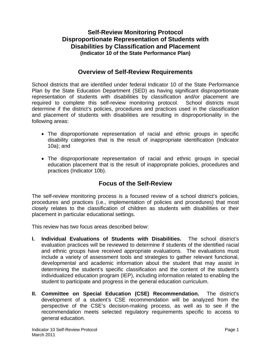## **Self-Review Monitoring Protocol Disproportionate Representation of Students with Disabilities by Classification and Placement (Indicator 10 of the State Performance Plan)**

#### **Overview of Self-Review Requirements**

School districts that are identified under federal Indicator 10 of the State Performance Plan by the State Education Department (SED) as having significant disproportionate representation of students with disabilities by classification and/or placement are required to complete this self-review monitoring protocol. School districts must determine if the district's policies, procedures and practices used in the classification and placement of students with disabilities are resulting in disproportionality in the following areas:

- The disproportionate representation of racial and ethnic groups in specific disability categories that is the result of inappropriate identification (Indicator 10a); and
- The disproportionate representation of racial and ethnic groups in special education placement that is the result of inappropriate policies, procedures and practices (Indicator 10b).

## **Focus of the Self-Review**

The self-review monitoring process is a focused review of a school district's policies, procedures and practices (i.e., implementation of policies and procedures) that most closely relates to the classification of children as students with disabilities or their placement in particular educational settings.

This review has two focus areas described below:

- **I. Individual Evaluations of Students with Disabilities.** The school district's evaluation practices will be reviewed to determine if students of the identified racial and ethnic groups have received appropriate evaluations. The evaluations must include a variety of assessment tools and strategies to gather relevant functional, developmental and academic information about the student that may assist in determining the student's specific classification and the content of the student's individualized education program (IEP), including information related to enabling the student to participate and progress in the general education curriculum.
- **II. Committee on Special Education (CSE) Recommendation.** The district's development of a student's CSE recommendation will be analyzed from the perspective of the CSE's decision-making process, as well as to see if the recommendation meets selected regulatory requirements specific to access to general education.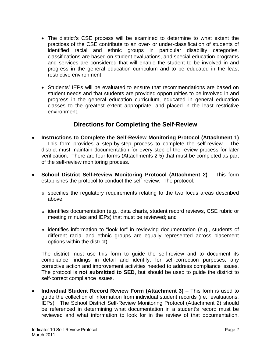- The district's CSE process will be examined to determine to what extent the practices of the CSE contribute to an over- or under-classification of students of identified racial and ethnic groups in particular disability categories, classifications are based on student evaluations, and special education programs and services are considered that will enable the student to be involved in and progress in the general education curriculum and to be educated in the least restrictive environment.
- Students' IEPs will be evaluated to ensure that recommendations are based on student needs and that students are provided opportunities to be involved in and progress in the general education curriculum, educated in general education classes to the greatest extent appropriate, and placed in the least restrictive environment.

## **Directions for Completing the Self-Review**

- **Instructions to Complete the Self-Review Monitoring Protocol (Attachment 1)** – This form provides a step-by-step process to complete the self-review. The district must maintain documentation for every step of the review process for later verification. There are four forms (Attachments 2-5) that must be completed as part of the self-review monitoring process.
- **School District Self-Review Monitoring Protocol (Attachment 2)** This form establishes the protocol to conduct the self-review. The protocol:
	- $\circ$  specifies the regulatory requirements relating to the two focus areas described above;
	- o identifies documentation (e.g., data charts, student record reviews, CSE rubric or meeting minutes and IEPs) that must be reviewed; and
	- o identifies information to "look for" in reviewing documentation (e.g., students of different racial and ethnic groups are equally represented across placement options within the district).

 The district must use this form to guide the self-review and to document its compliance findings in detail and identify, for self-correction purposes, any corrective action and improvement activities needed to address compliance issues. The protocol is **not submitted to SED**, but should be used to guide the district to self-correct compliance issues.

• **Individual Student Record Review Form (Attachment 3)** – This form is used to guide the collection of information from individual student records (i.e., evaluations, IEPs). The School District Self-Review Monitoring Protocol (Attachment 2) should be referenced in determining what documentation in a student's record must be reviewed and what information to look for in the review of that documentation.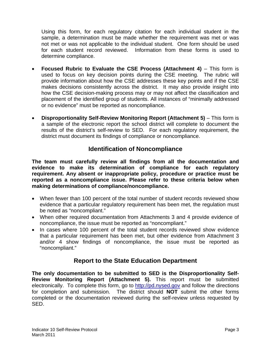Using this form, for each regulatory citation for each individual student in the sample, a determination must be made whether the requirement was met or was not met or was not applicable to the individual student. One form should be used for each student record reviewed. Information from these forms is used to determine compliance.

- **Focused Rubric to Evaluate the CSE Process (Attachment 4)** This form is used to focus on key decision points during the CSE meeting. The rubric will provide information about how the CSE addresses these key points and if the CSE makes decisions consistently across the district. It may also provide insight into how the CSE decision-making process may or may not affect the classification and placement of the identified group of students. All instances of "minimally addressed or no evidence" must be reported as noncompliance.
- **Disproportionality Self-Review Monitoring Report (Attachment 5)** This form is a sample of the electronic report the school district will complete to document the results of the district's self-review to SED. For each regulatory requirement, the district must document its findings of compliance or noncompliance.

## **Identification of Noncompliance**

**The team must carefully review all findings from all the documentation and evidence to make its determination of compliance for each regulatory requirement. Any absent or inappropriate policy, procedure or practice must be reported as a noncompliance issue. Please refer to these criteria below when making determinations of compliance/noncompliance.** 

- When fewer than 100 percent of the total number of student records reviewed show evidence that a particular regulatory requirement has been met, the regulation must be noted as "noncompliant."
- When other required documentation from Attachments 3 and 4 provide evidence of noncompliance, the issue must be reported as "noncompliant."
- In cases where 100 percent of the total student records reviewed show evidence that a particular requirement has been met, but other evidence from Attachment 3 and/or 4 show findings of noncompliance, the issue must be reported as "noncompliant."

## **Report to the State Education Department**

**The only documentation to be submitted to SED is the Disproportionality Self-Review Monitoring Report (Attachment 5).** This report must be submitted electronically. To complete this form, go to [http://pd.nysed.gov](http://pd.nysed.gov/) and follow the directions for completion and submission. The district should **NOT** submit the other forms completed or the documentation reviewed during the self-review unless requested by SED.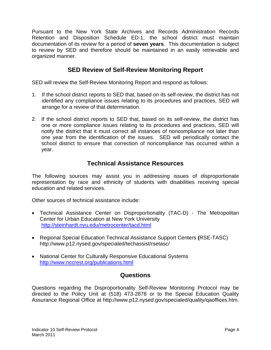Pursuant to the New York State Archives and Records Administration Records Retention and Disposition Schedule ED-1, the school district must maintain documentation of its review for a period of **seven years**. This documentation is subject to review by SED and therefore should be maintained in an easily retrievable and organized manner.

## **SED Review of Self-Review Monitoring Report**

SED will review the Self-Review Monitoring Report and respond as follows:

- 1. If the school district reports to SED that, based on its self-review, the district has not identified any compliance issues relating to its procedures and practices, SED will arrange for a review of that determination.
- 2. If the school district reports to SED that, based on its self-review, the district has one or more compliance issues relating to its procedures and practices, SED will notify the district that it must correct all instances of noncompliance not later than one year from the identification of the issues. SED will periodically contact the school district to ensure that correction of noncompliance has occurred within a year.

## **Technical Assistance Resources**

The following sources may assist you in addressing issues of disproportionate representation by race and ethnicity of students with disabilities receiving special education and related services.

Other sources of technical assistance include:

- Technical Assistance Center on Disproportionality (TAC-D) The Metropolitan Center for Urban Education at New York University <http://steinhardt.nyu.edu/metrocenter/tacd.html>
- Regional Special Education Technical Assistance Support Centers **(**RSE-TASC) http://www.p12.nysed.gov/specialed/techassist/rsetasc/
- National Center for Culturally Responsive Educational Systems <http://www.nccrest.org/publications.html>

## **Questions**

Questions regarding the Disproportionality Self-Review Monitoring Protocol may be directed to the Policy Unit at (518) 473-2878 or to the Special Education Quality Assurance Regional Office at http://www.p12.nysed.gov/specialed/quality/qaoffices.htm.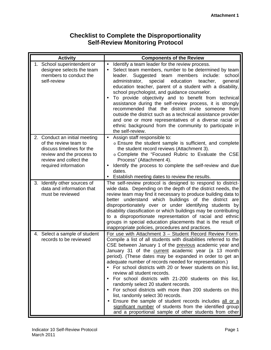## **Checklist to Complete the Disproportionality Self-Review Monitoring Protocol**

| <b>Activity</b>                                                                                                                                                    | <b>Components of the Review</b>                                                                                                                                                                                                                                                                                                                                                                                                                                                                                                                                                                                                                                                                                                                                                                                                                                                     |
|--------------------------------------------------------------------------------------------------------------------------------------------------------------------|-------------------------------------------------------------------------------------------------------------------------------------------------------------------------------------------------------------------------------------------------------------------------------------------------------------------------------------------------------------------------------------------------------------------------------------------------------------------------------------------------------------------------------------------------------------------------------------------------------------------------------------------------------------------------------------------------------------------------------------------------------------------------------------------------------------------------------------------------------------------------------------|
| 1. School superintendent or<br>designee selects the team<br>members to conduct the<br>self-review                                                                  | Identify a team leader for the review process.<br>Select team members, number to be determined by team<br>leader.<br>Suggested team<br>members<br>include:<br>school<br>education<br>administrator,<br>special<br>teacher,<br>general<br>education teacher, parent of a student with a disability,<br>school psychologist, and guidance counselor.<br>To provide objectivity and to benefit from technical<br>assistance during the self-review process, it is strongly<br>recommended that the district invite someone from<br>outside the district such as a technical assistance provider<br>and one or more representatives of a diverse racial or<br>ethnic background from the community to participate in<br>the self-review.                                                                                                                                                |
| 2. Conduct an initial meeting<br>of the review team to<br>discuss timelines for the<br>review and the process to<br>review and collect the<br>required information | Assign staff responsible to:<br>$\bullet$<br>o Ensure the student sample is sufficient, and complete<br>the student record reviews (Attachment 3).<br>○ Complete the "Focused Rubric to Evaluate the CSE<br>Process" (Attachment 4).<br>Identify the process to complete the self-review and due<br>dates.<br>Establish meeting dates to review the results.                                                                                                                                                                                                                                                                                                                                                                                                                                                                                                                        |
| 3. Identify other sources of<br>data and information that<br>must be reviewed                                                                                      | The self-review protocol is designed to respond to district-<br>wide data. Depending on the depth of the district needs, the<br>review team may find it necessary to produce building data to<br>better understand which buildings of the<br>district are<br>disproportionately over or under identifying students by<br>disability classification or which buildings may be contributing<br>to a disproportionate representation of racial and ethnic<br>groups in special education placements that is the result of<br>inappropriate policies, procedures and practices.                                                                                                                                                                                                                                                                                                         |
| 4. Select a sample of student<br>records to be reviewed                                                                                                            | For use with Attachment 3 - Student Record Review Form.<br>Compile a list of all students with disabilities referred to the<br>CSE between January 1 of the previous academic year and<br>January 31 of the current academic year (a 13 month<br>period). (These dates may be expanded in order to get an<br>adequate number of records needed for representation.)<br>• For school districts with 20 or fewer students on this list,<br>review all student records.<br>For school districts with 21-200 students on this list,<br>$\bullet$<br>randomly select 20 student records.<br>For school districts with more than 200 students on this<br>$\bullet$<br>list, randomly select 30 records.<br>• Ensure the sample of student records includes all or a<br>significant number of students from the identified group<br>and a proportional sample of other students from other |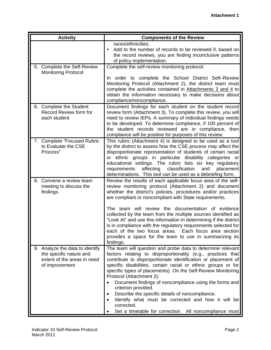| <b>Activity</b>                                                                                             | <b>Components of the Review</b>                                                                                                                                                                                                                                                                                                                                                                                                                                                                                                                                                                                                          |
|-------------------------------------------------------------------------------------------------------------|------------------------------------------------------------------------------------------------------------------------------------------------------------------------------------------------------------------------------------------------------------------------------------------------------------------------------------------------------------------------------------------------------------------------------------------------------------------------------------------------------------------------------------------------------------------------------------------------------------------------------------------|
|                                                                                                             | races/ethnicities.<br>Add to the number of records to be reviewed if, based on<br>the record reviews, you are finding inconclusive patterns<br>of policy implementation.                                                                                                                                                                                                                                                                                                                                                                                                                                                                 |
| 5. Complete the Self-Review<br><b>Monitoring Protocol</b>                                                   | Complete the self-review monitoring protocol.                                                                                                                                                                                                                                                                                                                                                                                                                                                                                                                                                                                            |
|                                                                                                             | In order to complete the School District Self-Review<br>Monitoring Protocol (Attachment 2), the district team must<br>complete the activities contained in Attachments 3 and 4 to<br>obtain the information necessary to make decisions about<br>compliance/noncompliance.                                                                                                                                                                                                                                                                                                                                                               |
| 6. Complete the Student<br>Record Review form for<br>each student                                           | Document findings for each student on the student record<br>review form (Attachment 3). To complete this review, you will<br>need to review IEPs. A summary of individual findings needs<br>to be developed. To determine compliance, if 100 percent of<br>the student records reviewed are in compliance, then<br>compliance will be positive for purposes of this review.                                                                                                                                                                                                                                                              |
| 7. Complete "Focused Rubric<br>to Evaluate the CSE<br>Process"                                              | This rubric (Attachment 4) is designed to be used as a tool<br>by the district to assess how the CSE process may affect the<br>disproportionate representation of students of certain racial<br>or ethnic groups in particular disability categories or<br>educational settings. The rubric lists six key regulatory<br>affecting<br>classification<br>requirements<br>and<br>placement<br>determinations. This tool can be used as a debriefing form.                                                                                                                                                                                   |
| 8. Convene a review team<br>meeting to discuss the<br>findings                                              | Review the results of each applicable focus area of the self-<br>review monitoring protocol (Attachment 2) and document<br>whether the district's policies, procedures and/or practices<br>are compliant or noncompliant with State requirements.                                                                                                                                                                                                                                                                                                                                                                                        |
|                                                                                                             | The team will review the documentation of evidence<br>collected by the team from the multiple sources identified as<br>"Look At" and use this information in determining if the district<br>is in compliance with the regulatory requirements selected for<br>each of the two focus areas. Each focus area section<br>provides a space for the team to use in summarizing its<br>findings.                                                                                                                                                                                                                                               |
| 9. Analyze the data to identify<br>the specific nature and<br>extent of the areas in need<br>of improvement | The team will question and probe data to determine relevant<br>factors relating to disproportionality (e.g., practices that<br>contribute to disproportionate identification or placement of<br>specific disabilities, certain racial or ethnic groups or for<br>specific types of placements). On the Self-Review Monitoring<br>Protocol (Attachment 2):<br>Document findings of noncompliance using the forms and<br>criterion provided.<br>Describe the specific details of noncompliance.<br>$\bullet$<br>Identify what must be corrected and how it will be<br>corrected.<br>Set a timetable for correction. All noncompliance must |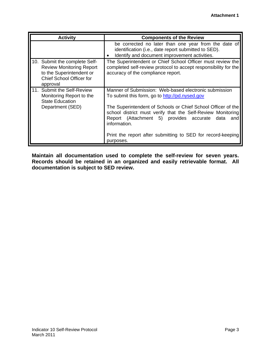| <b>Activity</b>                                                                                                                             | <b>Components of the Review</b>                                                                                                                                                                                                                                                                                                                                                              |
|---------------------------------------------------------------------------------------------------------------------------------------------|----------------------------------------------------------------------------------------------------------------------------------------------------------------------------------------------------------------------------------------------------------------------------------------------------------------------------------------------------------------------------------------------|
|                                                                                                                                             | be corrected no later than one year from the date of<br>identification (i.e., date report submitted to SED).<br>Identify and document improvement activities.                                                                                                                                                                                                                                |
| 10. Submit the complete Self-<br><b>Review Monitoring Report</b><br>to the Superintendent or<br><b>Chief School Officer for</b><br>approval | The Superintendent or Chief School Officer must review the<br>completed self-review protocol to accept responsibility for the<br>accuracy of the compliance report.                                                                                                                                                                                                                          |
| 11. Submit the Self-Review<br>Monitoring Report to the<br><b>State Education</b><br>Department (SED)                                        | Manner of Submission: Web-based electronic submission<br>To submit this form, go to http://pd.nysed.gov<br>The Superintendent of Schools or Chief School Officer of the<br>school district must verify that the Self-Review Monitoring<br>Report (Attachment 5) provides accurate<br>data<br>and<br>information.<br>Print the report after submitting to SED for record-keeping<br>purposes. |

**Maintain all documentation used to complete the self-review for seven years. Records should be retained in an organized and easily retrievable format. All documentation is subject to SED review.**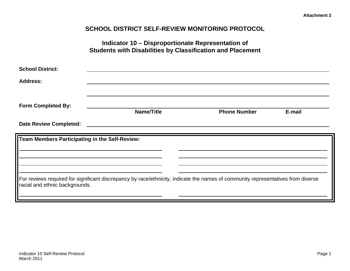### **SCHOOL DISTRICT SELF-REVIEW MONITORING PROTOCOL**

|                                                | Indicator 10 – Disproportionate Representation of<br><b>Students with Disabilities by Classification and Placement</b>           |                     |        |
|------------------------------------------------|----------------------------------------------------------------------------------------------------------------------------------|---------------------|--------|
| <b>School District:</b>                        |                                                                                                                                  |                     |        |
| <b>Address:</b>                                |                                                                                                                                  |                     |        |
| <b>Form Completed By:</b>                      | <b>Name/Title</b>                                                                                                                | <b>Phone Number</b> | E-mail |
| <b>Date Review Completed:</b>                  |                                                                                                                                  |                     |        |
| Team Members Participating in the Self-Review: |                                                                                                                                  |                     |        |
| racial and ethnic backgrounds.                 | For reviews required for significant discrepancy by race/ethnicity, indicate the names of community representatives from diverse |                     |        |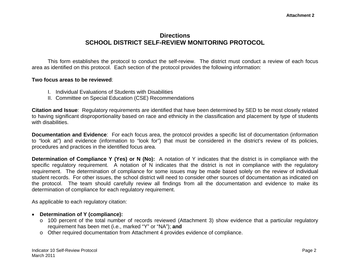## **Directions SCHOOL DISTRICT SELF-REVIEW MONITORING PROTOCOL**

 This form establishes the protocol to conduct the self-review. The district must conduct a review of each focus area as identified on this protocol. Each section of the protocol provides the following information:

#### **Two focus areas to be reviewed**:

- I. Individual Evaluations of Students with Disabilities
- II. Committee on Special Education (CSE) Recommendations

**Citation and Issue**: Regulatory requirements are identified that have been determined by SED to be most closely related to having significant disproportionality based on race and ethnicity in the classification and placement by type of students with disabilities.

**Documentation and Evidence**: For each focus area, the protocol provides a specific list of documentation (information to "look at") and evidence (information to "look for") that must be considered in the district's review of its policies, procedures and practices in the identified focus area.

**Determination of Compliance Y (Yes) or N (No):** A notation of Y indicates that the district is in compliance with the specific regulatory requirement. A notation of N indicates that the district is not in compliance with the regulatory requirement. The determination of compliance for some issues may be made based solely on the review of individual student records. For other issues, the school district will need to consider other sources of documentation as indicated on the protocol. The team should carefully review all findings from all the documentation and evidence to make its determination of compliance for each regulatory requirement.

As applicable to each regulatory citation:

- **Determination of Y (compliance):** 
	- <sup>o</sup> 100 percent of the total number of records reviewed (Attachment 3) show evidence that a particular regulatory requirement has been met (i.e., marked "Y" or "NA"); **and**
	- <sup>o</sup> Other required documentation from Attachment 4 provides evidence of compliance.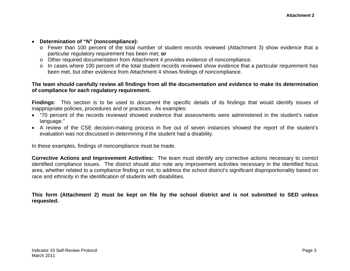#### • **Determination of "N" (noncompliance):**

- <sup>o</sup> Fewer than 100 percent of the total number of student records reviewed (Attachment 3) show evidence that a particular regulatory requirement has been met; **or**
- <sup>o</sup> Other required documentation from Attachment 4 provides evidence of noncompliance.
- <sup>o</sup> In cases where 100 percent of the total student records reviewed show evidence that a particular requirement has been met, but other evidence from Attachment 4 shows findings of noncompliance.

#### **The team should carefully review all findings from all the documentation and evidence to make its determination of compliance for each regulatory requirement.**

**Findings**: This section is to be used to document the specific details of its findings that would identify issues of inappropriate policies, procedures and or practices. As examples:

- "70 percent of the records reviewed showed evidence that assessments were administered in the student's native language."
- A review of the CSE decision-making process in five out of seven instances showed the report of the student's evaluation was not discussed in determining if the student had a disability.

In these examples, findings of noncompliance must be made.

**Corrective Actions and Improvement Activities:** The team must identify any corrective actions necessary to correct identified compliance issues. The district should also note any improvement activities necessary in the identified focus area, whether related to a compliance finding or not, to address the school district's significant disproportionality based on race and ethnicity in the identification of students with disabilities.

**This form (Attachment 2) must be kept on file by the school district and is not submitted to SED unless requested.**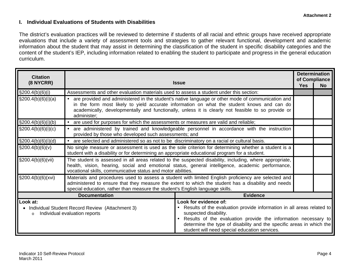#### **I. Individual Evaluations of Students with Disabilities**

The district's evaluation practices will be reviewed to determine if students of all racial and ethnic groups have received appropriate evaluations that include a variety of assessment tools and strategies to gather relevant functional, development and academic information about the student that may assist in determining the classification of the student in specific disability categories and the content of the student's IEP, including information related to enabling the student to participate and progress in the general education curriculum.

| <b>Citation</b>       | <b>Determination</b><br>of Compliance                                                                                                                                                                                                                                                       |                                                                                                                                                                                                                                                                                                                        |  |  |  |  |  |
|-----------------------|---------------------------------------------------------------------------------------------------------------------------------------------------------------------------------------------------------------------------------------------------------------------------------------------|------------------------------------------------------------------------------------------------------------------------------------------------------------------------------------------------------------------------------------------------------------------------------------------------------------------------|--|--|--|--|--|
| $(8$ NYCRR)           | <b>Issue</b>                                                                                                                                                                                                                                                                                |                                                                                                                                                                                                                                                                                                                        |  |  |  |  |  |
| $\S 200.4(b)(6)(i)$   | Assessments and other evaluation materials used to assess a student under this section:                                                                                                                                                                                                     |                                                                                                                                                                                                                                                                                                                        |  |  |  |  |  |
| \$200.4(b)(6)(i)(a)   | administer;                                                                                                                                                                                                                                                                                 | are provided and administered in the student's native language or other mode of communication and<br>in the form most likely to yield accurate information on what the student knows and can do<br>academically, developmentally and functionally, unless it is clearly not feasible to so provide or                  |  |  |  |  |  |
| $\S200.4(b)(6)(i)(b)$ | are used for purposes for which the assessments or measures are valid and reliable;                                                                                                                                                                                                         |                                                                                                                                                                                                                                                                                                                        |  |  |  |  |  |
| $\S200.4(b)(6)(i)(c)$ | provided by those who developed such assessments; and                                                                                                                                                                                                                                       | are administered by trained and knowledgeable personnel in accordance with the instruction                                                                                                                                                                                                                             |  |  |  |  |  |
| $\S200.4(b)(6)(i)(d)$ | are selected and administered so as not to be discriminatory on a racial or cultural basis.                                                                                                                                                                                                 |                                                                                                                                                                                                                                                                                                                        |  |  |  |  |  |
| $\S200.4(b)(6)(v)$    | No single measure or assessment is used as the sole criterion for determining whether a student is a<br>student with a disability or for determining an appropriate educational program for a student.                                                                                      |                                                                                                                                                                                                                                                                                                                        |  |  |  |  |  |
| $\S200.4(b)(6)(vii)$  | The student is assessed in all areas related to the suspected disability, including, where appropriate,<br>health, vision, hearing, social and emotional status, general intelligence, academic performance,<br>vocational skills, communicative status and motor abilities.                |                                                                                                                                                                                                                                                                                                                        |  |  |  |  |  |
| $\S200.4(b)(6)(xvi)$  | Materials and procedures used to assess a student with limited English proficiency are selected and<br>administered to ensure that they measure the extent to which the student has a disability and needs<br>special education, rather than measure the student's English language skills. |                                                                                                                                                                                                                                                                                                                        |  |  |  |  |  |
|                       | <b>Documentation</b>                                                                                                                                                                                                                                                                        | <b>Evidence</b>                                                                                                                                                                                                                                                                                                        |  |  |  |  |  |
| Look at:<br>$\Omega$  | • Individual Student Record Review (Attachment 3)<br>Individual evaluation reports                                                                                                                                                                                                          | Look for evidence of:<br>• Results of the evaluation provide information in all areas related to<br>suspected disability.<br>• Results of the evaluation provide the information necessary to<br>determine the type of disability and the specific areas in which the<br>student will need special education services. |  |  |  |  |  |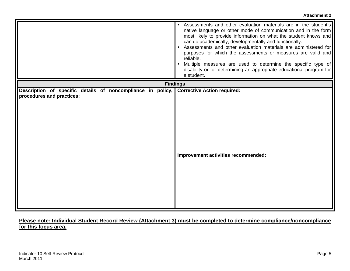|                                                                                          | • Assessments and other evaluation materials are in the student's<br>native language or other mode of communication and in the form<br>most likely to provide information on what the student knows and<br>can do academically, developmentally and functionally.<br>• Assessments and other evaluation materials are administered for<br>purposes for which the assessments or measures are valid and<br>reliable.<br>• Multiple measures are used to determine the specific type of<br>disability or for determining an appropriate educational program for<br>a student. |
|------------------------------------------------------------------------------------------|-----------------------------------------------------------------------------------------------------------------------------------------------------------------------------------------------------------------------------------------------------------------------------------------------------------------------------------------------------------------------------------------------------------------------------------------------------------------------------------------------------------------------------------------------------------------------------|
|                                                                                          | <b>Findings</b>                                                                                                                                                                                                                                                                                                                                                                                                                                                                                                                                                             |
| Description of specific details of noncompliance in policy,<br>procedures and practices: | <b>Corrective Action required:</b><br>Improvement activities recommended:                                                                                                                                                                                                                                                                                                                                                                                                                                                                                                   |

### **Please note: Individual Student Record Review (Attachment 3) must be completed to determine compliance/noncompliance for this focus area.**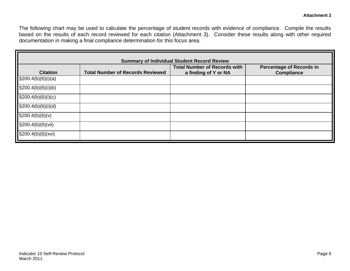The following chart may be used to calculate the percentage of student records with evidence of compliance. Compile the results based on the results of each record reviewed for each citation (Attachment 3). Consider these results along with other required documentation in making a final compliance determination for this focus area.

| <b>Summary of Individual Student Record Review</b> |                                         |                                                             |                                                      |  |  |  |  |  |
|----------------------------------------------------|-----------------------------------------|-------------------------------------------------------------|------------------------------------------------------|--|--|--|--|--|
| <b>Citation</b>                                    | <b>Total Number of Records Reviewed</b> | <b>Total Number of Records with</b><br>a finding of Y or NA | <b>Percentage of Records in</b><br><b>Compliance</b> |  |  |  |  |  |
| $\S200.4(b)(6)(i)(a)$                              |                                         |                                                             |                                                      |  |  |  |  |  |
| $\S200.4(b)(6)(i)(b)$                              |                                         |                                                             |                                                      |  |  |  |  |  |
| $\S200.4(b)(6)(i)(c)$                              |                                         |                                                             |                                                      |  |  |  |  |  |
| $\S200.4(b)(6)(i)(d)$                              |                                         |                                                             |                                                      |  |  |  |  |  |
| $\S200.4(b)(6)(v)$                                 |                                         |                                                             |                                                      |  |  |  |  |  |
| $\S200.4(b)(6)(vii)$                               |                                         |                                                             |                                                      |  |  |  |  |  |
| $\S200.4(b)(6)(xvi)$                               |                                         |                                                             |                                                      |  |  |  |  |  |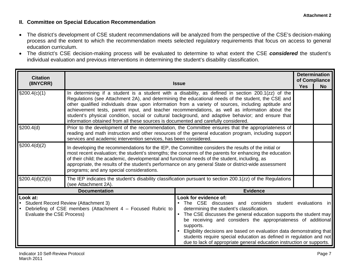#### **II. Committee on Special Education Recommendation**

- The district's development of CSE student recommendations will be analyzed from the perspective of the CSE's decision-making process and the extent to which the recommendation meets selected regulatory requirements that focus on access to general education curriculum.
- The district's CSE decision-making process will be evaluated to determine to what extent the CSE *considered* the student's individual evaluation and previous interventions in determining the student's disability classification.

| <b>Citation</b><br>(8NYCRR)           | <b>Determination</b><br>of Compliance<br><b>Issue</b>                                                                                                                                                                                                                                                                                                                                                                                                                                                                                                                                                           |                                                                                                                                                                                                                                                                                                                                                                                                                                                                                                                     |  |  |  |  |  |  |
|---------------------------------------|-----------------------------------------------------------------------------------------------------------------------------------------------------------------------------------------------------------------------------------------------------------------------------------------------------------------------------------------------------------------------------------------------------------------------------------------------------------------------------------------------------------------------------------------------------------------------------------------------------------------|---------------------------------------------------------------------------------------------------------------------------------------------------------------------------------------------------------------------------------------------------------------------------------------------------------------------------------------------------------------------------------------------------------------------------------------------------------------------------------------------------------------------|--|--|--|--|--|--|
| $\sqrt{200.4(c)(1)}$                  | In determining if a student is a student with a disability, as defined in section 200.1(zz) of the<br>Regulations (see Attachment 2A), and determining the educational needs of the student, the CSE and<br>other qualified individuals draw upon information from a variety of sources, including aptitude and<br>achievement tests, parent input, and teacher recommendations, as well as information about the<br>student's physical condition, social or cultural background, and adaptive behavior; and ensure that<br>information obtained from all these sources is documented and carefully considered. |                                                                                                                                                                                                                                                                                                                                                                                                                                                                                                                     |  |  |  |  |  |  |
| \$200.4(d)                            | services and academic intervention services, has been considered.                                                                                                                                                                                                                                                                                                                                                                                                                                                                                                                                               | Prior to the development of the recommendation, the Committee ensures that the appropriateness of<br>reading and math instruction and other resources of the general education program, including support                                                                                                                                                                                                                                                                                                           |  |  |  |  |  |  |
| $\S200.4(d)(2)$                       | In developing the recommendations for the IEP, the Committee considers the results of the initial or<br>most recent evaluation; the student's strengths; the concerns of the parents for enhancing the education<br>of their child; the academic, developmental and functional needs of the student, including, as<br>appropriate, the results of the student's performance on any general State or district-wide assessment<br>programs; and any special considerations.                                                                                                                                       |                                                                                                                                                                                                                                                                                                                                                                                                                                                                                                                     |  |  |  |  |  |  |
| $\S200.4(d)(2)(ii)$                   | (see Attachment 2A).                                                                                                                                                                                                                                                                                                                                                                                                                                                                                                                                                                                            | The IEP indicates the student's disability classification pursuant to section $200.1(zz)$ of the Regulations                                                                                                                                                                                                                                                                                                                                                                                                        |  |  |  |  |  |  |
|                                       | <b>Documentation</b>                                                                                                                                                                                                                                                                                                                                                                                                                                                                                                                                                                                            | <b>Evidence</b>                                                                                                                                                                                                                                                                                                                                                                                                                                                                                                     |  |  |  |  |  |  |
| Look at:<br>Evaluate the CSE Process) | <b>Student Record Review (Attachment 3)</b><br>Debriefing of CSE members (Attachment 4 - Focused Rubric to                                                                                                                                                                                                                                                                                                                                                                                                                                                                                                      | Look for evidence of:<br>The CSE discusses and considers student evaluations in<br>$\bullet$<br>determining the student's classification.<br>The CSE discusses the general education supports the student may<br>be receiving and considers the appropriateness of additional<br>supports.<br>Eligibility decisions are based on evaluation data demonstrating that<br>students require special education as defined in regulation and not<br>due to lack of appropriate general education instruction or supports. |  |  |  |  |  |  |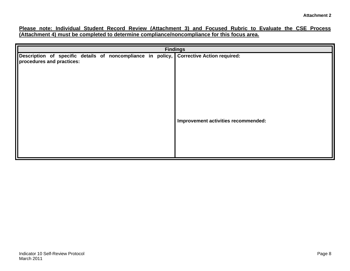**Please note: Individual Student Record Review (Attachment 3) and Focused Rubric to Evaluate the CSE Process (Attachment 4) must be completed to determine compliance/noncompliance for this focus area.**

|                           | <b>Findings</b> |  |  |  |  |  |  |                                                                                         |
|---------------------------|-----------------|--|--|--|--|--|--|-----------------------------------------------------------------------------------------|
| procedures and practices: |                 |  |  |  |  |  |  | Description of specific details of noncompliance in policy, Corrective Action required: |
|                           |                 |  |  |  |  |  |  | Improvement activities recommended:                                                     |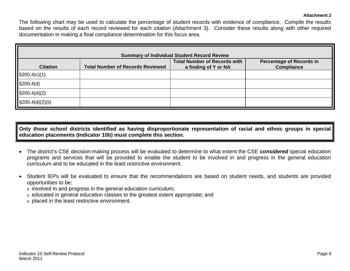#### **Attachment 2**

The following chart may be used to calculate the percentage of student records with evidence of compliance. Compile the results based on the results of each record reviewed for each citation (Attachment 3). Consider these results along with other required documentation in making a final compliance determination for this focus area.

| <b>Summary of Individual Student Record Review</b>                                                                                                                                |  |  |  |  |  |  |  |  |
|-----------------------------------------------------------------------------------------------------------------------------------------------------------------------------------|--|--|--|--|--|--|--|--|
| <b>Total Number of Records with</b><br><b>Percentage of Records in</b><br><b>Compliance</b><br><b>Citation</b><br>a finding of Y or NA<br><b>Total Number of Records Reviewed</b> |  |  |  |  |  |  |  |  |
| $\S200.4(c)(1)$                                                                                                                                                                   |  |  |  |  |  |  |  |  |
| \$200.4(d)                                                                                                                                                                        |  |  |  |  |  |  |  |  |
| $\S200.4(d)(2)$                                                                                                                                                                   |  |  |  |  |  |  |  |  |
| $\S200.4(d)(2)(ii)$                                                                                                                                                               |  |  |  |  |  |  |  |  |

**Only those school districts identified as having disproportionate representation of racial and ethnic groups in special education placements (Indicator 10b) must complete this section.** 

- The district's CSE decision-making process will be evaluated to determine to what extent the CSE *considered* special education programs and services that will be provided to enable the student to be involved in and progress in the general education curriculum and to be educated in the least restrictive environment.
- Student IEPs will be evaluated to ensure that the recommendations are based on student needs, and students are provided opportunities to be:
	- $\circ$  involved in and progress in the general education curriculum;
	- $\circ$  educated in general education classes to the greatest extent appropriate; and
	- $\circ$  placed in the least restrictive environment.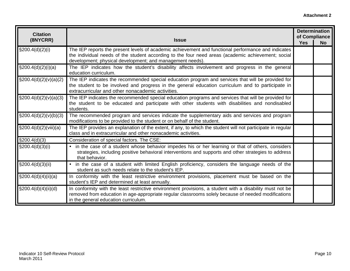| <b>Citation</b><br>(8NYCRR) | <b>Issue</b>                                                                                                                                                                                                                                                           | <b>Determination</b><br>of Compliance<br><b>Yes</b> | <b>No</b> |
|-----------------------------|------------------------------------------------------------------------------------------------------------------------------------------------------------------------------------------------------------------------------------------------------------------------|-----------------------------------------------------|-----------|
| $\S200.4(d)(2)(i)$          | The IEP reports the present levels of academic achievement and functional performance and indicates<br>the individual needs of the student according to the four need areas (academic achievement; social<br>development; physical development; and management needs). |                                                     |           |
| $\S200.4(d)(2)(i)(a)$       | The IEP indicates how the student's disability affects involvement and progress in the general<br>education curriculum.                                                                                                                                                |                                                     |           |
| $\S200.4(d)(2)(v)(a)(2)$    | The IEP indicates the recommended special education program and services that will be provided for<br>the student to be involved and progress in the general education curriculum and to participate in<br>extracurricular and other nonacademic activities.           |                                                     |           |
| $\S200.4(d)(2)(v)(a)(3)$    | The IEP indicates the recommended special education programs and services that will be provided for<br>the student to be educated and participate with other students with disabilities and nondisabled<br>students.                                                   |                                                     |           |
| $\S200.4(d)(2)(v)(b)(3)$    | The recommended program and services indicate the supplementary aids and services and program<br>modifications to be provided to the student or on behalf of the student.                                                                                              |                                                     |           |
| \$200.4(d)(2)(viii)(a)      | The IEP provides an explanation of the extent, if any, to which the student will not participate in regular<br>class and in extracurricular and other nonacademic activities.                                                                                          |                                                     |           |
| §200.4(d)(3)                | Consideration of special factors. The CSE:                                                                                                                                                                                                                             |                                                     |           |
| $\S200.4(d)(3)(i)$          | • in the case of a student whose behavior impedes his or her learning or that of others, considers<br>strategies, including positive behavioral interventions and supports and other strategies to address<br>that behavior.                                           |                                                     |           |
| $\S200.4(d)(3)(ii)$         | . in the case of a student with limited English proficiency, considers the language needs of the<br>student as such needs relate to the student's IEP.                                                                                                                 |                                                     |           |
| $\S200.4(d)(4)(ii)(a)$      | In conformity with the least restrictive environment provisions, placement must be based on the<br>student's IEP and determined at least annually.                                                                                                                     |                                                     |           |
| \$200.4(d)(4)(ii)(d)        | In conformity with the least restrictive environment provisions, a student with a disability must not be<br>removed from education in age-appropriate regular classrooms solely because of needed modifications<br>in the general education curriculum.                |                                                     |           |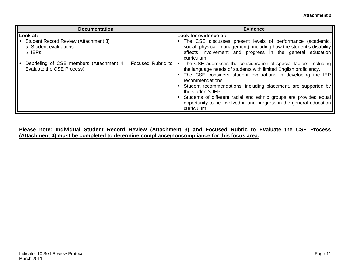| <b>Documentation</b>                                                                                                                                                            | <b>Evidence</b>                                                                                                                                                                                                                                                                                                                                                                                                                                                                                                                                                                                                                                                                                                         |
|---------------------------------------------------------------------------------------------------------------------------------------------------------------------------------|-------------------------------------------------------------------------------------------------------------------------------------------------------------------------------------------------------------------------------------------------------------------------------------------------------------------------------------------------------------------------------------------------------------------------------------------------------------------------------------------------------------------------------------------------------------------------------------------------------------------------------------------------------------------------------------------------------------------------|
| Look at:<br>Student Record Review (Attachment 3)<br>○ Student evaluations<br>∘ IEPs<br>Debriefing of CSE members (Attachment 4 – Focused Rubric to<br>Evaluate the CSE Process) | Look for evidence of:<br>The CSE discusses present levels of performance (academic,<br>social, physical, management), including how the student's disability<br>affects involvement and progress in the general education<br>curriculum.<br>The CSE addresses the consideration of special factors, including<br>the language needs of students with limited English proficiency.<br>The CSE considers student evaluations in developing the IEP<br>recommendations.<br>Student recommendations, including placement, are supported by<br>the student's IEP.<br>Students of different racial and ethnic groups are provided equal<br>opportunity to be involved in and progress in the general education<br>curriculum. |

**Please note: Individual Student Record Review (Attachment 3) and Focused Rubric to Evaluate the CSE Process (Attachment 4) must be completed to determine compliance/noncompliance for this focus area.**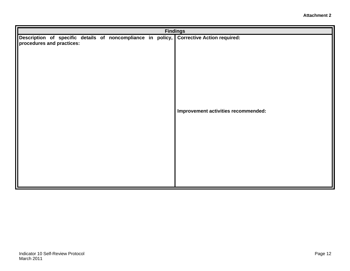|                           |  |  |  | <b>Findings</b>                                                                         |
|---------------------------|--|--|--|-----------------------------------------------------------------------------------------|
|                           |  |  |  | Description of specific details of noncompliance in policy, Corrective Action required: |
| procedures and practices: |  |  |  |                                                                                         |
|                           |  |  |  |                                                                                         |
|                           |  |  |  |                                                                                         |
|                           |  |  |  |                                                                                         |
|                           |  |  |  |                                                                                         |
|                           |  |  |  |                                                                                         |
|                           |  |  |  |                                                                                         |
|                           |  |  |  |                                                                                         |
|                           |  |  |  |                                                                                         |
|                           |  |  |  | Improvement activities recommended:                                                     |
|                           |  |  |  |                                                                                         |
|                           |  |  |  |                                                                                         |
|                           |  |  |  |                                                                                         |
|                           |  |  |  |                                                                                         |
|                           |  |  |  |                                                                                         |
|                           |  |  |  |                                                                                         |
|                           |  |  |  |                                                                                         |
|                           |  |  |  |                                                                                         |
|                           |  |  |  |                                                                                         |
|                           |  |  |  |                                                                                         |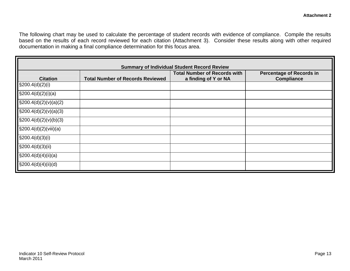The following chart may be used to calculate the percentage of student records with evidence of compliance. Compile the results based on the results of each record reviewed for each citation (Attachment 3). Consider these results along with other required documentation in making a final compliance determination for this focus area.

|                                |                                         | <b>Summary of Individual Student Record Review</b>          |                                                      |
|--------------------------------|-----------------------------------------|-------------------------------------------------------------|------------------------------------------------------|
| <b>Citation</b>                | <b>Total Number of Records Reviewed</b> | <b>Total Number of Records with</b><br>a finding of Y or NA | <b>Percentage of Records in</b><br><b>Compliance</b> |
| $\frac{1}{2}$ (3200.4(d)(2)(i) |                                         |                                                             |                                                      |
| $\S200.4(d)(2)(i)(a)$          |                                         |                                                             |                                                      |
| $\S200.4(d)(2)(v)(a)(2)$       |                                         |                                                             |                                                      |
| $\S200.4(d)(2)(v)(a)(3)$       |                                         |                                                             |                                                      |
| $\S200.4(d)(2)(v)(b)(3)$       |                                         |                                                             |                                                      |
| $\S200.4(d)(2)(viii)(a)$       |                                         |                                                             |                                                      |
| $\S200.4(d)(3)(i)$             |                                         |                                                             |                                                      |
| $\S200.4(d)(3)(ii)$            |                                         |                                                             |                                                      |
| $\S200.4(d)(4)(ii)(a)$         |                                         |                                                             |                                                      |
| $\S200.4(d)(4)(ii)(d)$         |                                         |                                                             |                                                      |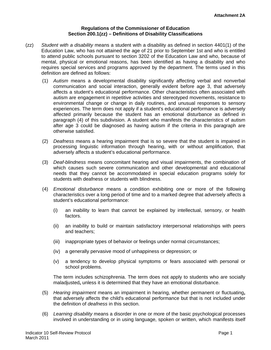#### **Regulations of the Commissioner of Education Section 200.1(zz) – Definitions of Disability Classifications**

- (zz) *Student with a disability* means a student with a disability as defined in section 4401(1) of the Education Law, who has not attained the age of 21 prior to September 1st and who is entitled to attend public schools pursuant to section 3202 of the Education Law and who, because of mental, physical or emotional reasons, has been identified as having a disability and who requires special services and programs approved by the department. The terms used in this definition are defined as follows:
	- (1) *Autism* means a developmental disability significantly affecting verbal and nonverbal communication and social interaction, generally evident before age 3, that adversely affects a student's educational performance. Other characteristics often associated with autism are engagement in repetitive activities and stereotyped movements, resistance to environmental change or change in daily routines, and unusual responses to sensory experiences. The term does not apply if a student's educational performance is adversely affected primarily because the student has an emotional disturbance as defined in paragraph (4) of this subdivision. A student who manifests the characteristics of autism after age 3 could be diagnosed as having autism if the criteria in this paragraph are otherwise satisfied.
	- (2) *Deafness* means a hearing impairment that is so severe that the student is impaired in processing linguistic information through hearing, with or without amplification, that adversely affects a student's educational performance.
	- (3) *Deaf-blindness* means concomitant hearing and visual impairments, the combination of which causes such severe communication and other developmental and educational needs that they cannot be accommodated in special education programs solely for students with deafness or students with blindness.
	- (4) *Emotional disturbance* means a condition exhibiting one or more of the following characteristics over a long period of time and to a marked degree that adversely affects a student's educational performance:
		- (i) an inability to learn that cannot be explained by intellectual, sensory, or health factors.
		- (ii) an inability to build or maintain satisfactory interpersonal relationships with peers and teachers;
		- (iii) inappropriate types of behavior or feelings under normal circumstances;
		- (iv) a generally pervasive mood of unhappiness or depression; or
		- (v) a tendency to develop physical symptoms or fears associated with personal or school problems.

The term includes schizophrenia. The term does not apply to students who are socially maladjusted**,** unless it is determined that they have an emotional disturbance.

- (5) *Hearing impairment* means an impairment in hearing, whether permanent or fluctuating**,**  that adversely affects the child's educational performance but that is not included under the definition of *deafness* in this section.
- (6) *Learning disability* means a disorder in one or more of the basic psychological processes involved in understanding or in using language, spoken or written, which manifests itself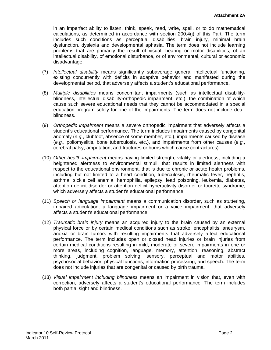in an imperfect ability to listen, think, speak, read, write, spell, or to do mathematical calculations, as determined in accordance with section 200.4(j) of this Part. The term includes such conditions as perceptual disabilities, brain injury, minimal brain dysfunction, dyslexia and developmental aphasia. The term does not include learning problems that are primarily the result of visual, hearing or motor disabilities, of an intellectual disability, of emotional disturbance, or of environmental, cultural or economic disadvantage.

- (7) *Intellectual disability* means significantly subaverage general intellectual functioning, existing concurrently with deficits in adaptive behavior and manifested during the developmental period, that adversely affects a student's educational performance**.**
- (8) *Multiple disabilities* means concomitant impairments (such as intellectual disabilityblindness, intellectual disability-orthopedic impairment, etc.), the combination of which cause such severe educational needs that they cannot be accommodated in a special education program solely for one of the impairments. The term does not include deafblindness.
- (9) *Orthopedic impairment* means a severe orthopedic impairment that adversely affects a student's educational performance. The term includes impairments caused by congenital anomaly (*e.g.*, clubfoot, absence of some member, etc.), impairments caused by disease (*e.g.*, poliomyelitis, bone tuberculosis, etc.), and impairments from other causes (*e.g.*, cerebral palsy, amputation, and fractures or burns which cause contractures).
- (10) *Other health-impairment* means having limited strength, vitality or alertness**,** including a heightened alertness to environmental stimuli, that results in limited alertness with respect to the educational environment, that is due to chronic or acute health problems, including but not limited to a heart condition, tuberculosis, rheumatic fever, nephritis, asthma, sickle cell anemia, hemophilia, epilepsy, lead poisoning, leukemia, diabetes, attention deficit disorder or attention deficit hyperactivity disorder or tourette syndrome, which adversely affects a student's educational performance.
- (11) *Speech or language impairment* means a communication disorder, such as stuttering, impaired articulation, a language impairment or a voice impairment, that adversely affects a student's educational performance.
- (12) *Traumatic brain injury* means an acquired injury to the brain caused by an external physical force or by certain medical conditions such as stroke, encephalitis, aneurysm, anoxia or brain tumors with resulting impairments that adversely affect educational performance. The term includes open or closed head injuries or brain injuries from certain medical conditions resulting in mild, moderate or severe impairments in one or more areas, including cognition, language, memory, attention, reasoning, abstract thinking, judgment, problem solving, sensory, perceptual and motor abilities, psychosocial behavior, physical functions, information processing, and speech. The term does not include injuries that are congenital or caused by birth trauma.
- (13) *Visual impairment including blindness* means an impairment in vision that, even with correction, adversely affects a student's educational performance. The term includes both partial sight and blindness.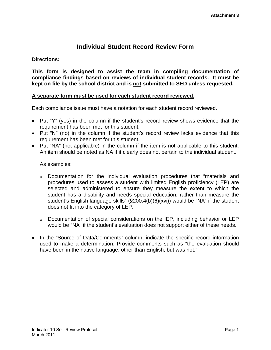### **Individual Student Record Review Form**

#### **Directions:**

**This form is designed to assist the team in compiling documentation of compliance findings based on reviews of individual student records. It must be kept on file by the school district and is not submitted to SED unless requested.** 

#### **A separate form must be used for each student record reviewed.**

Each compliance issue must have a notation for each student record reviewed.

- Put "Y" (yes) in the column if the student's record review shows evidence that the requirement has been met for this student.
- Put "N" (no) in the column if the student's record review lacks evidence that this requirement has been met for this student.
- Put "NA" (not applicable) in the column if the item is not applicable to this student. An item should be noted as NA if it clearly does not pertain to the individual student.

As examples:

- o Documentation for the individual evaluation procedures that "materials and procedures used to assess a student with limited English proficiency (LEP) are selected and administered to ensure they measure the extent to which the student has a disability and needs special education, rather than measure the student's English language skills" (§200.4(b)(6)(xvi)) would be "NA" if the student does not fit into the category of LEP.
- o Documentation of special considerations on the IEP, including behavior or LEP would be "NA" if the student's evaluation does not support either of these needs.
- In the "Source of Data/Comments" column, indicate the specific record information used to make a determination. Provide comments such as "the evaluation should have been in the native language, other than English, but was not."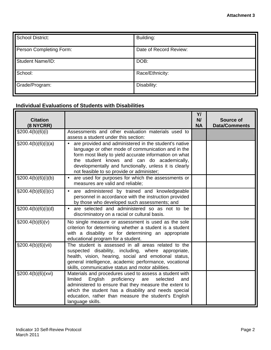| School District:        | Building:              |
|-------------------------|------------------------|
| Person Completing Form: | Date of Record Review: |
| <b>Student Name/ID:</b> | DOB:                   |
| School:                 | Race/Ethnicity:        |
| Grade/Program:          | Disability:            |

## **Individual Evaluations of Students with Disabilities**

| <b>Citation</b><br>(8 NYCRR) |                                                                                                                                                                                                                                                                                                                            | Y/<br>N/<br><b>NA</b> | Source of<br><b>Data/Comments</b> |
|------------------------------|----------------------------------------------------------------------------------------------------------------------------------------------------------------------------------------------------------------------------------------------------------------------------------------------------------------------------|-----------------------|-----------------------------------|
| $\S200.4(b)(6)(i)$           | Assessments and other evaluation materials used to<br>assess a student under this section:                                                                                                                                                                                                                                 |                       |                                   |
| $\S200.4(b)(6)(i)(a)$        | are provided and administered in the student's native<br>language or other mode of communication and in the<br>form most likely to yield accurate information on what<br>the student knows and can do academically,<br>developmentally and functionally, unless it is clearly<br>not feasible to so provide or administer; |                       |                                   |
| \$200.4(b)(6)(i)(b)          | are used for purposes for which the assessments or<br>$\bullet$<br>measures are valid and reliable;                                                                                                                                                                                                                        |                       |                                   |
| \$200.4(b)(6)(i)(c)          | are administered by trained and knowledgeable<br>$\bullet$<br>personnel in accordance with the instruction provided<br>by those who developed such assessments; and                                                                                                                                                        |                       |                                   |
| $\S200.4(b)(6)(i)(d)$        | are selected and administered so as not to be<br>$\bullet$<br>discriminatory on a racial or cultural basis.                                                                                                                                                                                                                |                       |                                   |
| \$200.4(b)(6)(v)             | No single measure or assessment is used as the sole<br>criterion for determining whether a student is a student<br>with a disability or for determining an appropriate<br>educational program for a student.                                                                                                               |                       |                                   |
| $\S 200.4(b)(6)(vii)$        | The student is assessed in all areas related to the<br>suspected disability, including, where appropriate,<br>health, vision, hearing, social and emotional status,<br>general intelligence, academic performance, vocational<br>skills, communicative status and motor abilities.                                         |                       |                                   |
| \$200.4(b)(6)(xvi)           | Materials and procedures used to assess a student with<br>limited<br>English<br>proficiency are<br>selected<br>and<br>administered to ensure that they measure the extent to<br>which the student has a disability and needs special<br>education, rather than measure the student's English<br>language skills.           |                       |                                   |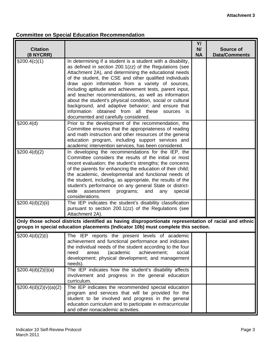## **Committee on Special Education Recommendation**

| <b>Citation</b><br>(8 NYCRR) |                                                                                                                                                                                                                                                                                                                                                                                                                                                                                                                                                                                                                                          | Y/<br>N/<br><b>NA</b> | Source of<br><b>Data/Comments</b> |
|------------------------------|------------------------------------------------------------------------------------------------------------------------------------------------------------------------------------------------------------------------------------------------------------------------------------------------------------------------------------------------------------------------------------------------------------------------------------------------------------------------------------------------------------------------------------------------------------------------------------------------------------------------------------------|-----------------------|-----------------------------------|
| $\S200.4(c)(1)$              | In determining if a student is a student with a disability,<br>as defined in section 200.1(zz) of the Regulations (see<br>Attachment 2A), and determining the educational needs<br>of the student, the CSE and other qualified individuals<br>draw upon information from a variety of sources,<br>including aptitude and achievement tests, parent input,<br>and teacher recommendations, as well as information<br>about the student's physical condition, social or cultural<br>background, and adaptive behavior; and ensure that<br>information obtained from all these sources<br><b>is</b><br>documented and carefully considered. |                       |                                   |
| \$200.4(d)                   | Prior to the development of the recommendation, the<br>Committee ensures that the appropriateness of reading<br>and math instruction and other resources of the general<br>education program, including support services and<br>academic intervention services, has been considered.                                                                                                                                                                                                                                                                                                                                                     |                       |                                   |
| \$200.4(d)(2)                | In developing the recommendations for the IEP, the<br>Committee considers the results of the initial or most<br>recent evaluation; the student's strengths; the concerns<br>of the parents for enhancing the education of their child;<br>the academic, developmental and functional needs of<br>the student, including, as appropriate, the results of the<br>student's performance on any general State or district-<br>wide<br>assessment<br>programs;<br>and<br>any<br>special<br>considerations.                                                                                                                                    |                       |                                   |
| $\S200.4(d)(2)(ii)$          | The IEP indicates the student's disability classification<br>pursuant to section 200.1(zz) of the Regulations (see<br>Attachment 2A).                                                                                                                                                                                                                                                                                                                                                                                                                                                                                                    |                       |                                   |
|                              | Only those school districts identified as having disproportionate representation of racial and ethnic<br>groups in special education placements (Indicator 10b) must complete this section.                                                                                                                                                                                                                                                                                                                                                                                                                                              |                       |                                   |
| \$200.4(d)(2)(i)             | The IEP reports the present levels of academic<br>achievement and functional performance and indicates<br>the individual needs of the student according to the four<br>(academic<br>achievement:<br>need<br>social<br>areas<br>development; physical development; and management<br>needs).                                                                                                                                                                                                                                                                                                                                              |                       |                                   |
| \$200.4(d)(2)(i)(a)          | The IEP indicates how the student's disability affects<br>involvement and progress in the general education<br>curriculum.                                                                                                                                                                                                                                                                                                                                                                                                                                                                                                               |                       |                                   |
| $\S200.4(d)(2)(v)(a)(2)$     | The IEP indicates the recommended special education<br>program and services that will be provided for the<br>student to be involved and progress in the general<br>education curriculum and to participate in extracurricular<br>and other nonacademic activities.                                                                                                                                                                                                                                                                                                                                                                       |                       |                                   |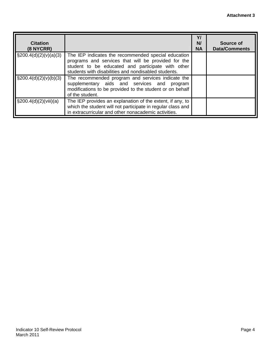| <b>Citation</b><br>$(8$ NYCRR) |                                                                                                                                                                                                                         | Y<br>N/<br><b>NA</b> | Source of<br><b>Data/Comments</b> |
|--------------------------------|-------------------------------------------------------------------------------------------------------------------------------------------------------------------------------------------------------------------------|----------------------|-----------------------------------|
| $\S200.4(d)(2)(v)(a)(3)$       | The IEP indicates the recommended special education<br>programs and services that will be provided for the<br>student to be educated and participate with other<br>students with disabilities and nondisabled students. |                      |                                   |
| $\S200.4(d)(2)(v)(b)(3)$       | The recommended program and services indicate the<br>supplementary aids and services and program<br>modifications to be provided to the student or on behalf<br>of the student.                                         |                      |                                   |
| $\S200.4(d)(2)(viii)(a)$       | The IEP provides an explanation of the extent, if any, to<br>which the student will not participate in regular class and<br>in extracurricular and other nonacademic activities.                                        |                      |                                   |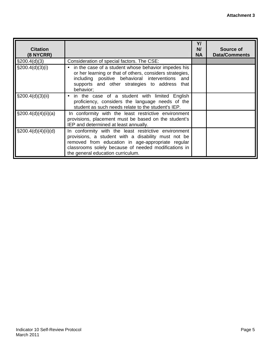| <b>Citation</b><br>$(8$ NYCRR) |                                                                                                                                                                                                                                                               | Y<br>N/<br><b>NA</b> | Source of<br><b>Data/Comments</b> |
|--------------------------------|---------------------------------------------------------------------------------------------------------------------------------------------------------------------------------------------------------------------------------------------------------------|----------------------|-----------------------------------|
| $\S200.4(d)(3)$                | Consideration of special factors. The CSE:                                                                                                                                                                                                                    |                      |                                   |
| $\S200.4(d)(3)(i)$             | in the case of a student whose behavior impedes his<br>or her learning or that of others, considers strategies,<br>including positive behavioral interventions and<br>supports and other strategies to address that<br>behavior;                              |                      |                                   |
| $\S200.4(d)(3)(ii)$            | in the case of a student with limited English<br>$\bullet$<br>proficiency, considers the language needs of the<br>student as such needs relate to the student's IEP.                                                                                          |                      |                                   |
| \$200.4(d)(4)(ii)(a)           | In conformity with the least restrictive environment<br>provisions, placement must be based on the student's<br>IEP and determined at least annually.                                                                                                         |                      |                                   |
| $\S200.4(d)(4)(ii)(d)$         | In conformity with the least restrictive environment<br>provisions, a student with a disability must not be<br>removed from education in age-appropriate regular<br>classrooms solely because of needed modifications in<br>the general education curriculum. |                      |                                   |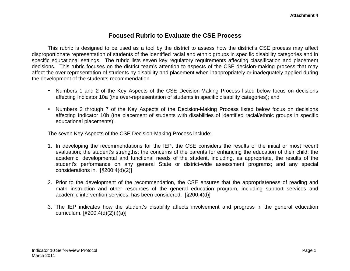## **Focused Rubric to Evaluate the CSE Process**

 This rubric is designed to be used as a tool by the district to assess how the district's CSE process may affect disproportionate representation of students of the identified racial and ethnic groups in specific disability categories and in specific educational settings. The rubric lists seven key regulatory requirements affecting classification and placement decisions. This rubric focuses on the district team's attention to aspects of the CSE decision-making process that may affect the over representation of students by disability and placement when inappropriately or inadequately applied during the development of the student's recommendation.

- Numbers 1 and 2 of the Key Aspects of the CSE Decision-Making Process listed below focus on decisions affecting Indicator 10a (the over-representation of students in specific disability categories); and
- Numbers 3 through 7 of the Key Aspects of the Decision-Making Process listed below focus on decisions affecting Indicator 10b (the placement of students with disabilities of identified racial/ethnic groups in specific educational placements).

The seven Key Aspects of the CSE Decision-Making Process include:

- 1. In developing the recommendations for the IEP, the CSE considers the results of the initial or most recent evaluation; the student's strengths; the concerns of the parents for enhancing the education of their child; the academic, developmental and functional needs of the student, including, as appropriate, the results of the student's performance on any general State or district-wide assessment programs; and any special considerations in. [§200.4(d)(2)]
- 2. Prior to the development of the recommendation, the CSE ensures that the appropriateness of reading and math instruction and other resources of the general education program, including support services and academic intervention services, has been considered. [§200.4(d)]
- 3. The IEP indicates how the student's disability affects involvement and progress in the general education curriculum. [§200.4(d)(2)(i)(a)]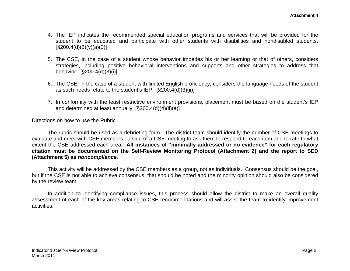- 4. The IEP indicates the recommended special education programs and services that will be provided for the student to be educated and participate with other students with disabilities and nondisabled students.  $[S200.4(d)(2)(v)(a)(3)]$
- 5. The CSE, in the case of a student whose behavior impedes his or her learning or that of others, considers strategies, including positive behavioral interventions and supports and other strategies to address that behavior. [§200.4(d)(3)(i)]
- 6. The CSE, in the case of a student with limited English proficiency, considers the language needs of the student as such needs relate to the student's IEP. [§200.4(d)(3)(ii)]
- 7. In conformity with the least restrictive environment provisions, placement must be based on the student's IEP and determined at least annually. [§200.4(d)(4)(ii)(a)]

#### Directions on how to use the Rubric

 The rubric should be used as a debriefing form. The district team should identify the number of CSE meetings to evaluate and meet with CSE members outside of a CSE meeting to ask them to respond to each item and to rate to what extent the CSE addressed each area. **All instances of "minimally addressed or no evidence" for each regulatory citation must be documented on the Self-Review Monitoring Protocol (Attachment 2) and the report to SED (Attachment 5) as** *noncompliance.*

 This activity will be addressed by the CSE members as a group, not as individuals. Consensus should be the goal, but if the CSE is not able to achieve consensus, that should be noted and the minority opinion should also be considered by the review team.

 In addition to identifying compliance issues, this process should allow the district to make an overall quality assessment of each of the key areas relating to CSE recommendations and will assist the team to identify improvement activities.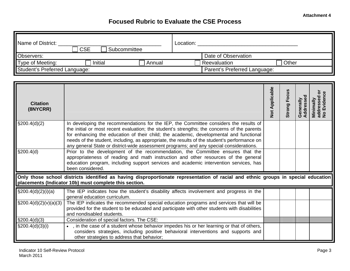$\mathbf{r}$ 

## **Focused Rubric to Evaluate the CSE Process**

| Name of District:             | l CSE   | Subcommittee | Location: |                              |       |
|-------------------------------|---------|--------------|-----------|------------------------------|-------|
| <b>Il</b> Observers:          |         |              |           | Date of Observation          |       |
| Type of Meeting:              | Initial | Annual       |           | <b>Reevaluation</b>          | Other |
| Student's Preferred Language: |         |              |           | Parent's Preferred Language: |       |

| <b>Citation</b><br>(8NYCRR)         |                                                                                                                                                                                                                                                                                                                                                                                                                                                                           | Not Applicable | Strong For | Generally<br>Address | Minimally<br>addresseo<br>No Evider |
|-------------------------------------|---------------------------------------------------------------------------------------------------------------------------------------------------------------------------------------------------------------------------------------------------------------------------------------------------------------------------------------------------------------------------------------------------------------------------------------------------------------------------|----------------|------------|----------------------|-------------------------------------|
| \$200.4(d)(2)                       | In developing the recommendations for the IEP, the Committee considers the results of<br>the initial or most recent evaluation; the student's strengths; the concerns of the parents<br>for enhancing the education of their child; the academic, developmental and functional<br>needs of the student, including, as appropriate, the results of the student's performance on<br>any general State or district-wide assessment programs; and any special considerations. |                |            |                      |                                     |
| \$200.4(d)                          | Prior to the development of the recommendation, the Committee ensures that the<br>appropriateness of reading and math instruction and other resources of the general<br>education program, including support services and academic intervention services, has<br>been considered.                                                                                                                                                                                         |                |            |                      |                                     |
|                                     | Only those school districts identified as having disproportionate representation of racial and ethnic groups in special education<br>placements (Indicator 10b) must complete this section.                                                                                                                                                                                                                                                                               |                |            |                      |                                     |
| $\text{\$200.4(d)(2)(i)(a)}$        | The IEP indicates how the student's disability affects involvement and progress in the<br>general education curriculum.                                                                                                                                                                                                                                                                                                                                                   |                |            |                      |                                     |
| $\frac{1}{2}$ §200.4(d)(2)(v)(a)(3) | The IEP indicates the recommended special education programs and services that will be<br>provided for the student to be educated and participate with other students with disabilities<br>and nondisabled students.                                                                                                                                                                                                                                                      |                |            |                      |                                     |
| $\S200.4(d)(3)$                     | Consideration of special factors. The CSE:                                                                                                                                                                                                                                                                                                                                                                                                                                |                |            |                      |                                     |
| $\S200.4(d)(3)(i)$                  | , in the case of a student whose behavior impedes his or her learning or that of others,<br>considers strategies, including positive behavioral interventions and supports and<br>other strategies to address that behavior;                                                                                                                                                                                                                                              |                |            |                      |                                     |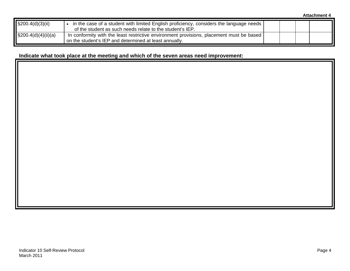| <b>Attachment 4</b> |
|---------------------|
|---------------------|

| $\frac{1}{2}$ \\$200.4(d)(3)(ii)  | in the case of a student with limited English proficiency, considers the language needs<br>of the student as such needs relate to the student's IEP. |  |  |
|-----------------------------------|------------------------------------------------------------------------------------------------------------------------------------------------------|--|--|
| $\frac{1}{2}$ §200.4(d)(4)(ii)(a) | In conformity with the least restrictive environment provisions, placement must be based<br>on the student's IEP and determined at least annually.   |  |  |

**Indicate what took place at the meeting and which of the seven areas need improvement:**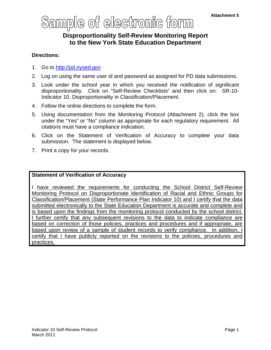## **Disproportionality Self-Review Monitoring Report to the New York State Education Department**

#### **Directions:**

- 1. Go to [http://pd.nysed.gov](http://pd.nysed.gov/)
- 2. Log on using the same user id and password as assigned for PD data submissions.
- 3. Look under the school year in which you received the notification of significant disproportionality. Click on "Self-Review Checklists" and then click on: SR-10- Indicator 10, Disproportionality in Classification/Placement.
- 4. Follow the online directions to complete the form.
- 5. Using documentation from the Monitoring Protocol (Attachment 2), click the box under the "Yes" or "No" column as appropriate for each regulatory requirement. All citations must have a compliance indication.
- 6. Click on the Statement of Verification of Accuracy to complete your data submission. The statement is displayed below.
- 7. Print a copy for your records.

#### **Statement of Verification of Accuracy**

I have reviewed the requirements for conducting the School District Self-Review Monitoring Protocol on Disproportionate Identification of Racial and Ethnic Groups for Classification/Placement (State Performance Plan Indicator 10) and I certify that the data submitted electronically to the State Education Department is accurate and complete and is based upon the findings from the monitoring protocol conducted by the school district. I further certify that any subsequent revisions to the data to indicate compliance are based on correction of those policies, practices and procedures and if appropriate, are based upon review of a sample of student records to verify compliance. In addition, I certify that I have publicly reported on the revisions to the policies, procedures and practices.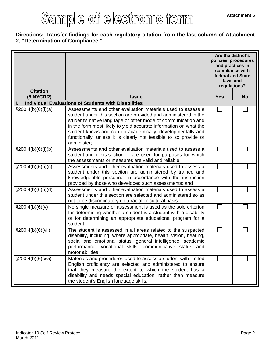#### **Directions: Transfer findings for each regulatory citation from the last column of Attachment 2, "Determination of Compliance."**

| <b>Citation</b>       |                                                                                                                                                                                                                                                                                                                                                                                                                      | Are the district's<br>policies, procedures<br>and practices in<br>compliance with<br>federal and State<br>laws and<br>regulations? |           |
|-----------------------|----------------------------------------------------------------------------------------------------------------------------------------------------------------------------------------------------------------------------------------------------------------------------------------------------------------------------------------------------------------------------------------------------------------------|------------------------------------------------------------------------------------------------------------------------------------|-----------|
| (8 NYCRR)             | <b>Issue</b>                                                                                                                                                                                                                                                                                                                                                                                                         | <b>Yes</b>                                                                                                                         | <b>No</b> |
| ı.                    | <b>Individual Evaluations of Students with Disabilities</b>                                                                                                                                                                                                                                                                                                                                                          |                                                                                                                                    |           |
| $\S200.4(b)(6)(i)(a)$ | Assessments and other evaluation materials used to assess a<br>student under this section are provided and administered in the<br>student's native language or other mode of communication and<br>in the form most likely to yield accurate information on what the<br>student knows and can do academically, developmentally and<br>functionally, unless it is clearly not feasible to so provide or<br>administer; |                                                                                                                                    |           |
| $\S200.4(b)(6)(i)(b)$ | Assessments and other evaluation materials used to assess a<br>student under this section<br>are used for purposes for which<br>the assessments or measures are valid and reliable;                                                                                                                                                                                                                                  |                                                                                                                                    |           |
| $\S200.4(b)(6)(i)(c)$ | Assessments and other evaluation materials used to assess a<br>student under this section are administered by trained and<br>knowledgeable personnel in accordance with the instruction<br>provided by those who developed such assessments; and                                                                                                                                                                     |                                                                                                                                    |           |
| \$200.4(b)(6)(i)(d)   | Assessments and other evaluation materials used to assess a<br>student under this section are selected and administered so as<br>not to be discriminatory on a racial or cultural basis.                                                                                                                                                                                                                             |                                                                                                                                    |           |
| \$200.4(b)(6)(v)      | No single measure or assessment is used as the sole criterion<br>for determining whether a student is a student with a disability<br>or for determining an appropriate educational program for a<br>student.                                                                                                                                                                                                         |                                                                                                                                    |           |
| §200.4(b)(6)(vii)     | The student is assessed in all areas related to the suspected<br>disability, including, where appropriate, health, vision, hearing,<br>social and emotional status, general intelligence, academic<br>performance, vocational skills, communicative status and<br>motor abilities.                                                                                                                                   |                                                                                                                                    |           |
| $\S 200.4(b)(6)(xvi)$ | Materials and procedures used to assess a student with limited<br>English proficiency are selected and administered to ensure<br>that they measure the extent to which the student has a<br>disability and needs special education, rather than measure<br>the student's English language skills.                                                                                                                    |                                                                                                                                    |           |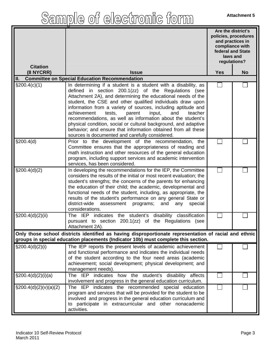| <b>Citation</b>          |                                                                                                                                                                                                                                                                                                                                                                                                                                                                                                                                                                                                                                            | Are the district's<br>policies, procedures<br>and practices in<br>compliance with<br>federal and State<br>laws and<br>regulations? |           |
|--------------------------|--------------------------------------------------------------------------------------------------------------------------------------------------------------------------------------------------------------------------------------------------------------------------------------------------------------------------------------------------------------------------------------------------------------------------------------------------------------------------------------------------------------------------------------------------------------------------------------------------------------------------------------------|------------------------------------------------------------------------------------------------------------------------------------|-----------|
| (8 NYCRR)                | <b>Issue</b>                                                                                                                                                                                                                                                                                                                                                                                                                                                                                                                                                                                                                               | <b>Yes</b>                                                                                                                         | <b>No</b> |
| Ш.                       | <b>Committee on Special Education Recommendation</b>                                                                                                                                                                                                                                                                                                                                                                                                                                                                                                                                                                                       |                                                                                                                                    |           |
| $\S200.4(c)(1)$          | In determining if a student is a student with a disability, as<br>defined in section 200.1(zz) of the Regulations (see<br>Attachment 2A), and determining the educational needs of the<br>student, the CSE and other qualified individuals draw upon<br>information from a variety of sources, including aptitude and<br>achievement<br>and<br>tests,<br>parent<br>input,<br>teacher<br>recommendations, as well as information about the student's<br>physical condition, social or cultural background, and adaptive<br>behavior; and ensure that information obtained from all these<br>sources is documented and carefully considered. |                                                                                                                                    |           |
| §200.4(d)                | Prior to the development of the recommendation, the<br>Committee ensures that the appropriateness of reading and<br>math instruction and other resources of the general education<br>program, including support services and academic intervention<br>services, has been considered.                                                                                                                                                                                                                                                                                                                                                       |                                                                                                                                    |           |
| $\S200.4(d)(2)$          | In developing the recommendations for the IEP, the Committee<br>considers the results of the initial or most recent evaluation; the<br>student's strengths; the concerns of the parents for enhancing<br>the education of their child; the academic, developmental and<br>functional needs of the student, including, as appropriate, the<br>results of the student's performance on any general State or<br>district-wide<br>and<br>assessment programs;<br>any<br>special<br>considerations.                                                                                                                                             |                                                                                                                                    |           |
| $\S200.4(d)(2)(ii)$      | The IEP indicates the student's disability classification<br>pursuant to section 200.1(zz) of the Regulations (see<br>Attachment 2A).                                                                                                                                                                                                                                                                                                                                                                                                                                                                                                      |                                                                                                                                    |           |
|                          | Only those school districts identified as having disproportionate representation of racial and ethnic<br>groups in special education placements (Indicator 10b) must complete this section.                                                                                                                                                                                                                                                                                                                                                                                                                                                |                                                                                                                                    |           |
| \$200.4(d)(2)(i)         | The IEP reports the present levels of academic achievement<br>and functional performance and indicates the individual needs<br>of the student according to the four need areas (academic<br>achievement; social development; physical development; and<br>management needs).                                                                                                                                                                                                                                                                                                                                                               |                                                                                                                                    |           |
| \$200.4(d)(2)(i)(a)      | The IEP indicates how the student's disability affects<br>involvement and progress in the general education curriculum.                                                                                                                                                                                                                                                                                                                                                                                                                                                                                                                    |                                                                                                                                    |           |
| $\S200.4(d)(2)(v)(a)(2)$ | The IEP indicates the recommended special education<br>program and services that will be provided for the student to be<br>involved and progress in the general education curriculum and<br>participate in extracurricular and other nonacademic<br>to<br>activities.                                                                                                                                                                                                                                                                                                                                                                      |                                                                                                                                    |           |